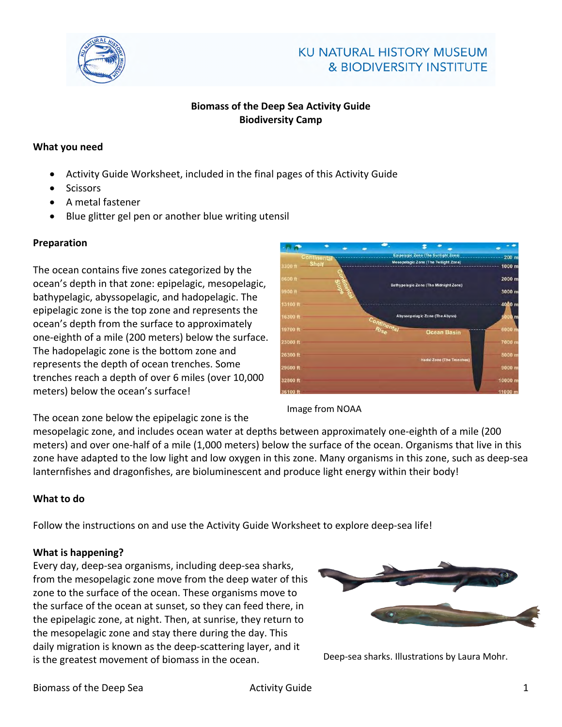

# **KU NATURAL HISTORY MUSEUM & BIODIVERSITY INSTITUTE**

# **Biomass of the Deep Sea Activity Guide Biodiversity Camp**

## **What you need**

- Activity Guide Worksheet, included in the final pages of this Activity Guide
- **Scissors**
- A metal fastener
- Blue glitter gel pen or another blue writing utensil

### **Preparation**

The ocean contains five zones categorized by the ocean's depth in that zone: epipelagic, mesopelagic, bathypelagic, abyssopelagic, and hadopelagic. The epipelagic zone is the top zone and represents the ocean's depth from the surface to approximately one-eighth of a mile (200 meters) below the surface. The hadopelagic zone is the bottom zone and represents the depth of ocean trenches. Some trenches reach a depth of over 6 miles (over 10,000 meters) below the ocean's surface!



The ocean zone below the epipelagic zone is the

Image from NOAA

mesopelagic zone, and includes ocean water at depths between approximately one-eighth of a mile (200 meters) and over one-half of a mile (1,000 meters) below the surface of the ocean. Organisms that live in this zone have adapted to the low light and low oxygen in this zone. Many organisms in this zone, such as deep-sea lanternfishes and dragonfishes, are bioluminescent and produce light energy within their body!

## **What to do**

Follow the instructions on and use the Activity Guide Worksheet to explore deep-sea life!

#### **What is happening?**

Every day, deep-sea organisms, including deep-sea sharks, from the mesopelagic zone move from the deep water of this zone to the surface of the ocean. These organisms move to the surface of the ocean at sunset, so they can feed there, in the epipelagic zone, at night. Then, at sunrise, they return to the mesopelagic zone and stay there during the day. This daily migration is known as the deep-scattering layer, and it is the greatest movement of biomass in the ocean.



Deep-sea sharks. Illustrations by Laura Mohr.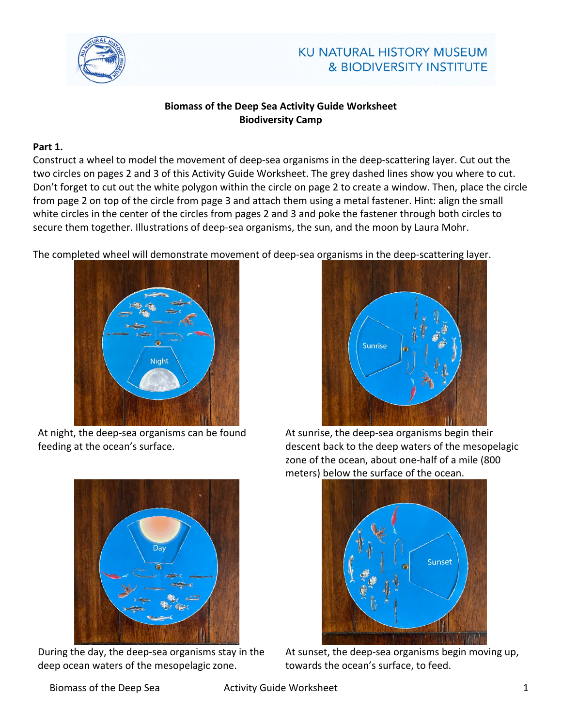

# **KU NATURAL HISTORY MUSEUM** & BIODIVERSITY INSTITUTE

# **Biomass of the Deep Sea Activity Guide Worksheet Biodiversity Camp**

## **Part 1.**

Construct a wheel to model the movement of deep-sea organisms in the deep-scattering layer. Cut out the two circles on pages 2 and 3 of this Activity Guide Worksheet. The grey dashed lines show you where to cut. Don't forget to cut out the white polygon within the circle on page 2 to create a window. Then, place the circle from page 2 on top of the circle from page 3 and attach them using a metal fastener. Hint: align the small white circles in the center of the circles from pages 2 and 3 and poke the fastener through both circles to secure them together. Illustrations of deep-sea organisms, the sun, and the moon by Laura Mohr.

The completed wheel will demonstrate movement of deep-sea organisms in the deep-scattering layer.



At night, the deep-sea organisms can be found feeding at the ocean's surface.



At sunrise, the deep-sea organisms begin their descent back to the deep waters of the mesopelagic zone of the ocean, about one-half of a mile (800 meters) below the surface of the ocean.



At sunset, the deep-sea organisms begin moving up, towards the ocean's surface, to feed.



During the day, the deep-sea organisms stay in the deep ocean waters of the mesopelagic zone.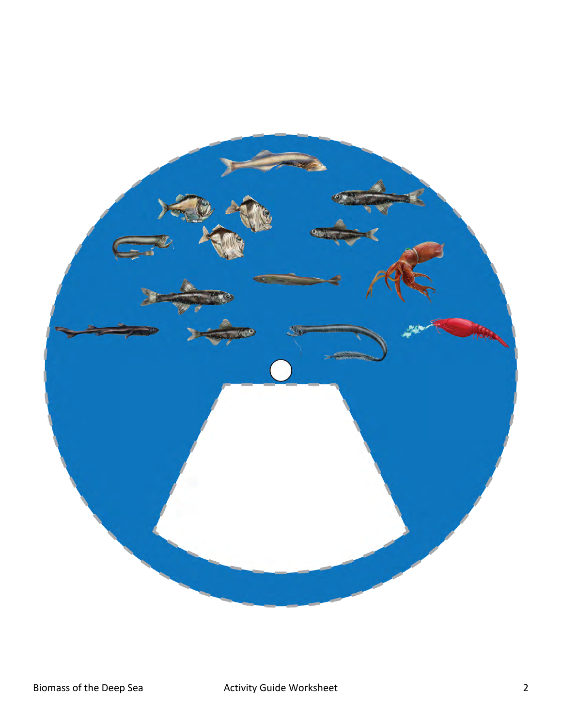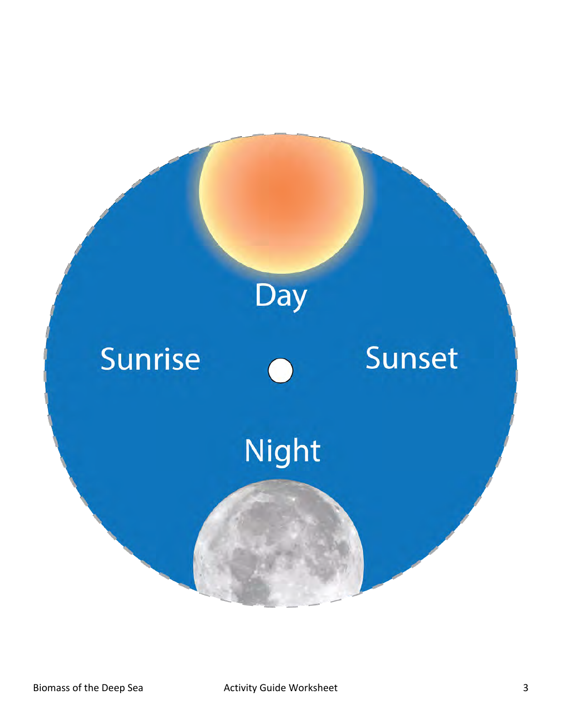